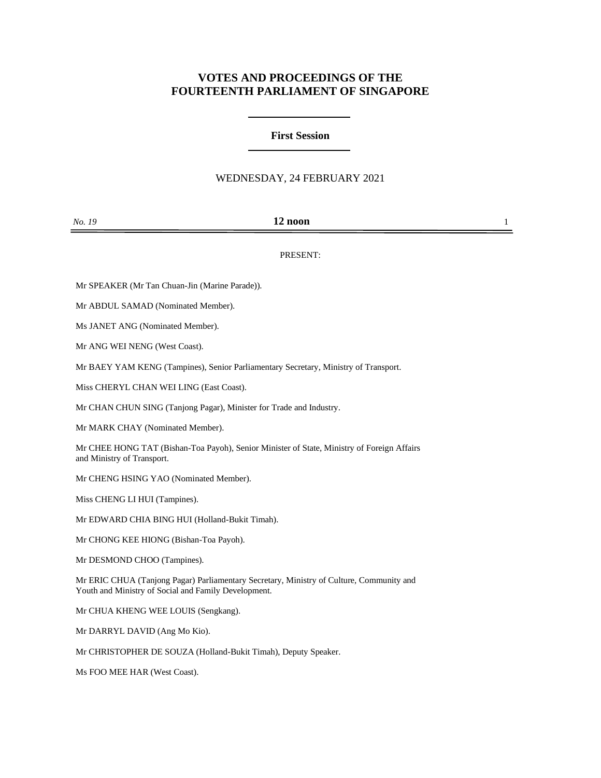# **VOTES AND PROCEEDINGS OF THE FOURTEENTH PARLIAMENT OF SINGAPORE**

## **First Session**

#### WEDNESDAY, 24 FEBRUARY 2021

| No. 19 | 10<br>12 noon |  |
|--------|---------------|--|
|        |               |  |

#### PRESENT:

Mr SPEAKER (Mr Tan Chuan-Jin (Marine Parade)).

Mr ABDUL SAMAD (Nominated Member).

Ms JANET ANG (Nominated Member).

Mr ANG WEI NENG (West Coast).

Mr BAEY YAM KENG (Tampines), Senior Parliamentary Secretary, Ministry of Transport.

Miss CHERYL CHAN WEI LING (East Coast).

Mr CHAN CHUN SING (Tanjong Pagar), Minister for Trade and Industry.

Mr MARK CHAY (Nominated Member).

Mr CHEE HONG TAT (Bishan-Toa Payoh), Senior Minister of State, Ministry of Foreign Affairs and Ministry of Transport.

Mr CHENG HSING YAO (Nominated Member).

Miss CHENG LI HUI (Tampines).

Mr EDWARD CHIA BING HUI (Holland-Bukit Timah).

Mr CHONG KEE HIONG (Bishan-Toa Payoh).

Mr DESMOND CHOO (Tampines).

Mr ERIC CHUA (Tanjong Pagar) Parliamentary Secretary, Ministry of Culture, Community and Youth and Ministry of Social and Family Development.

Mr CHUA KHENG WEE LOUIS (Sengkang).

Mr DARRYL DAVID (Ang Mo Kio).

Mr CHRISTOPHER DE SOUZA (Holland-Bukit Timah), Deputy Speaker.

Ms FOO MEE HAR (West Coast).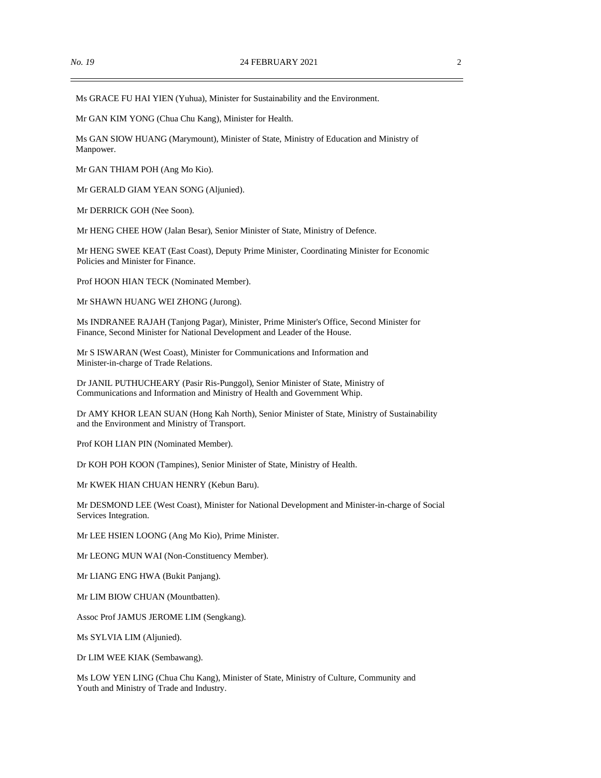Ms GRACE FU HAI YIEN (Yuhua), Minister for Sustainability and the Environment.

Mr GAN KIM YONG (Chua Chu Kang), Minister for Health.

Ms GAN SIOW HUANG (Marymount), Minister of State, Ministry of Education and Ministry of Manpower.

Mr GAN THIAM POH (Ang Mo Kio).

Mr GERALD GIAM YEAN SONG (Aljunied).

Mr DERRICK GOH (Nee Soon).

Mr HENG CHEE HOW (Jalan Besar), Senior Minister of State, Ministry of Defence.

Mr HENG SWEE KEAT (East Coast), Deputy Prime Minister, Coordinating Minister for Economic Policies and Minister for Finance.

Prof HOON HIAN TECK (Nominated Member).

Mr SHAWN HUANG WEI ZHONG (Jurong).

Ms INDRANEE RAJAH (Tanjong Pagar), Minister, Prime Minister's Office, Second Minister for Finance, Second Minister for National Development and Leader of the House.

Mr S ISWARAN (West Coast), Minister for Communications and Information and Minister-in-charge of Trade Relations.

Dr JANIL PUTHUCHEARY (Pasir Ris-Punggol), Senior Minister of State, Ministry of Communications and Information and Ministry of Health and Government Whip.

Dr AMY KHOR LEAN SUAN (Hong Kah North), Senior Minister of State, Ministry of Sustainability and the Environment and Ministry of Transport.

Prof KOH LIAN PIN (Nominated Member).

Dr KOH POH KOON (Tampines), Senior Minister of State, Ministry of Health.

Mr KWEK HIAN CHUAN HENRY (Kebun Baru).

Mr DESMOND LEE (West Coast), Minister for National Development and Minister-in-charge of Social Services Integration.

Mr LEE HSIEN LOONG (Ang Mo Kio), Prime Minister.

Mr LEONG MUN WAI (Non-Constituency Member).

Mr LIANG ENG HWA (Bukit Panjang).

Mr LIM BIOW CHUAN (Mountbatten).

Assoc Prof JAMUS JEROME LIM (Sengkang).

Ms SYLVIA LIM (Aljunied).

Dr LIM WEE KIAK (Sembawang).

Ms LOW YEN LING (Chua Chu Kang), Minister of State, Ministry of Culture, Community and Youth and Ministry of Trade and Industry.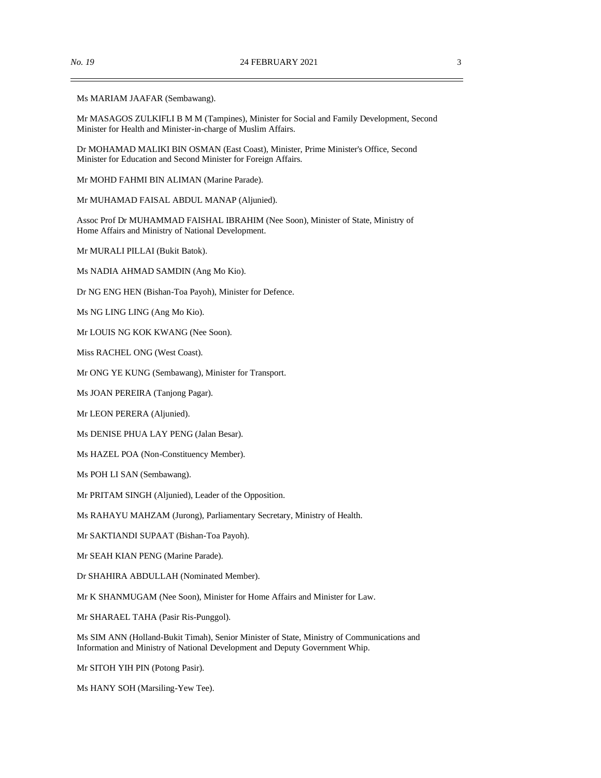Ms MARIAM JAAFAR (Sembawang).

Mr MASAGOS ZULKIFLI B M M (Tampines), Minister for Social and Family Development, Second Minister for Health and Minister-in-charge of Muslim Affairs.

Dr MOHAMAD MALIKI BIN OSMAN (East Coast), Minister, Prime Minister's Office, Second Minister for Education and Second Minister for Foreign Affairs.

Mr MOHD FAHMI BIN ALIMAN (Marine Parade).

Mr MUHAMAD FAISAL ABDUL MANAP (Aljunied).

Assoc Prof Dr MUHAMMAD FAISHAL IBRAHIM (Nee Soon), Minister of State, Ministry of Home Affairs and Ministry of National Development.

Mr MURALI PILLAI (Bukit Batok).

Ms NADIA AHMAD SAMDIN (Ang Mo Kio).

Dr NG ENG HEN (Bishan-Toa Payoh), Minister for Defence.

Ms NG LING LING (Ang Mo Kio).

Mr LOUIS NG KOK KWANG (Nee Soon).

Miss RACHEL ONG (West Coast).

Mr ONG YE KUNG (Sembawang), Minister for Transport.

Ms JOAN PEREIRA (Tanjong Pagar).

Mr LEON PERERA (Aljunied).

Ms DENISE PHUA LAY PENG (Jalan Besar).

Ms HAZEL POA (Non-Constituency Member).

Ms POH LI SAN (Sembawang).

Mr PRITAM SINGH (Aljunied), Leader of the Opposition.

Ms RAHAYU MAHZAM (Jurong), Parliamentary Secretary, Ministry of Health.

Mr SAKTIANDI SUPAAT (Bishan-Toa Payoh).

Mr SEAH KIAN PENG (Marine Parade).

Dr SHAHIRA ABDULLAH (Nominated Member).

Mr K SHANMUGAM (Nee Soon), Minister for Home Affairs and Minister for Law.

Mr SHARAEL TAHA (Pasir Ris-Punggol).

Ms SIM ANN (Holland-Bukit Timah), Senior Minister of State, Ministry of Communications and Information and Ministry of National Development and Deputy Government Whip.

Mr SITOH YIH PIN (Potong Pasir).

Ms HANY SOH (Marsiling-Yew Tee).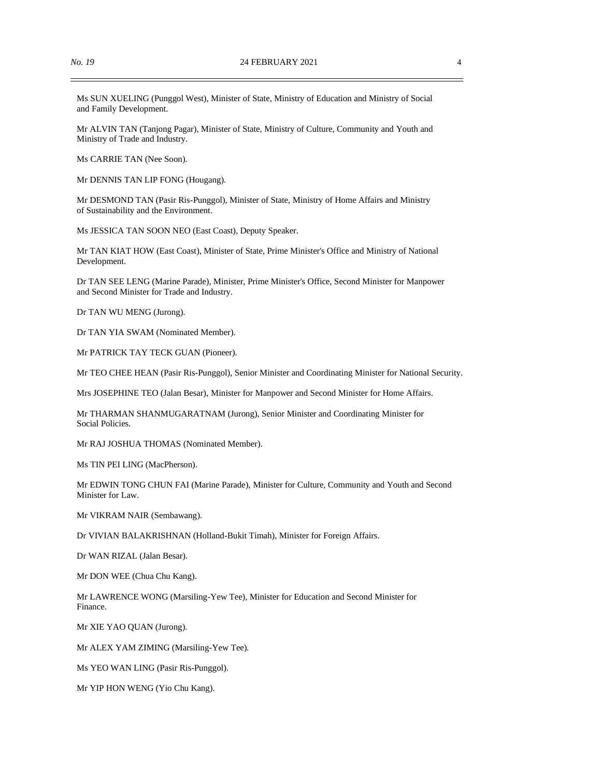Ms SUN XUELING (Punggol West), Minister of State, Ministry of Education and Ministry of Social and Family Development.

Mr ALVIN TAN (Tanjong Pagar), Minister of State, Ministry of Culture, Community and Youth and Ministry of Trade and Industry.

Ms CARRIE TAN (Nee Soon).

Mr DENNIS TAN LIP FONG (Hougang).

Mr DESMOND TAN (Pasir Ris-Punggol), Minister of State, Ministry of Home Affairs and Ministry of Sustainability and the Environment.

Ms JESSICA TAN SOON NEO (East Coast), Deputy Speaker.

Mr TAN KIAT HOW (East Coast), Minister of State, Prime Minister's Office and Ministry of National Development.

Dr TAN SEE LENG (Marine Parade), Minister, Prime Minister's Office, Second Minister for Manpower and Second Minister for Trade and Industry.

Dr TAN WU MENG (Jurong).

Dr TAN YIA SWAM (Nominated Member).

Mr PATRICK TAY TECK GUAN (Pioneer).

Mr TEO CHEE HEAN (Pasir Ris-Punggol), Senior Minister and Coordinating Minister for National Security.

Mrs JOSEPHINE TEO (Jalan Besar), Minister for Manpower and Second Minister for Home Affairs.

Mr THARMAN SHANMUGARATNAM (Jurong), Senior Minister and Coordinating Minister for Social Policies.

Mr RAJ JOSHUA THOMAS (Nominated Member).

Ms TIN PEI LING (MacPherson).

Mr EDWIN TONG CHUN FAI (Marine Parade), Minister for Culture, Community and Youth and Second Minister for Law.

Mr VIKRAM NAIR (Sembawang).

Dr VIVIAN BALAKRISHNAN (Holland-Bukit Timah), Minister for Foreign Affairs.

Dr WAN RIZAL (Jalan Besar).

Mr DON WEE (Chua Chu Kang).

Mr LAWRENCE WONG (Marsiling-Yew Tee), Minister for Education and Second Minister for Finance.

Mr XIE YAO QUAN (Jurong).

Mr ALEX YAM ZIMING (Marsiling-Yew Tee).

Ms YEO WAN LING (Pasir Ris-Punggol).

Mr YIP HON WENG (Yio Chu Kang).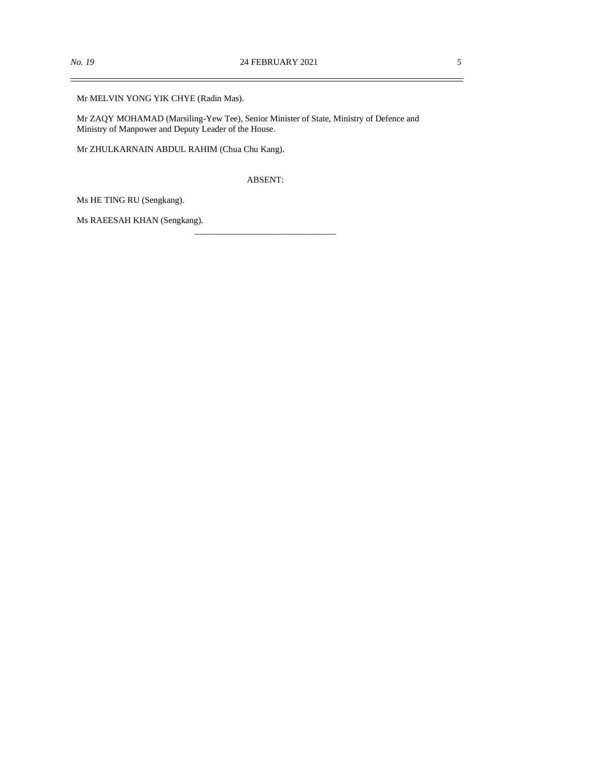$\overline{\phantom{0}}$ 

Mr MELVIN YONG YIK CHYE (Radin Mas).

Mr ZAQY MOHAMAD (Marsiling-Yew Tee), Senior Minister of State, Ministry of Defence and Ministry of Manpower and Deputy Leader of the House.

Mr ZHULKARNAIN ABDUL RAHIM (Chua Chu Kang).

ABSENT:

\_\_\_\_\_\_\_\_\_\_\_\_\_\_\_\_\_\_\_\_\_\_\_\_\_\_\_\_\_\_\_\_

Ms HE TING RU (Sengkang).

Ms RAEESAH KHAN (Sengkang).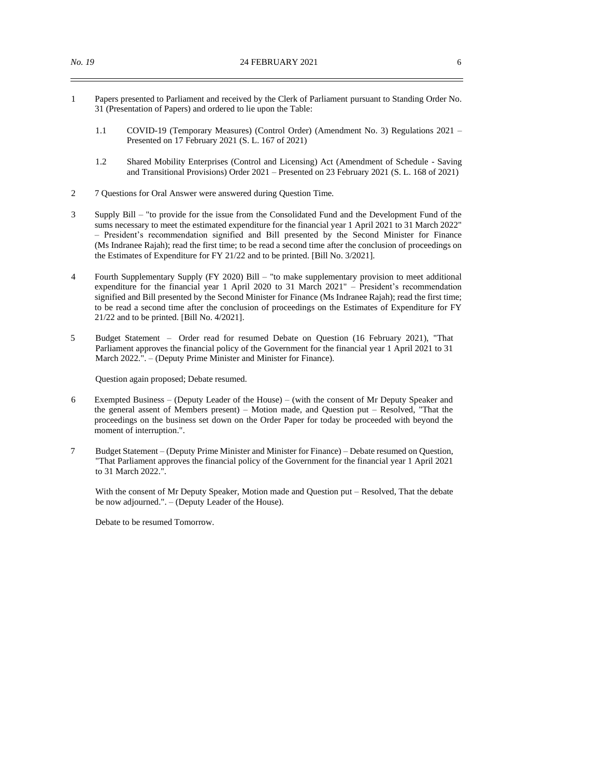- 1 Papers presented to Parliament and received by the Clerk of Parliament pursuant to Standing Order No. 31 (Presentation of Papers) and ordered to lie upon the Table:
	- 1.1 COVID-19 (Temporary Measures) (Control Order) (Amendment No. 3) Regulations 2021 Presented on 17 February 2021 (S. L. 167 of 2021)
	- 1.2 Shared Mobility Enterprises (Control and Licensing) Act (Amendment of Schedule Saving and Transitional Provisions) Order 2021 – Presented on 23 February 2021 (S. L. 168 of 2021)
- 2 7 Questions for Oral Answer were answered during Question Time.
- 3 Supply Bill "to provide for the issue from the Consolidated Fund and the Development Fund of the sums necessary to meet the estimated expenditure for the financial year 1 April 2021 to 31 March 2022" – President's recommendation signified and Bill presented by the Second Minister for Finance (Ms Indranee Rajah); read the first time; to be read a second time after the conclusion of proceedings on the Estimates of Expenditure for FY 21/22 and to be printed. [Bill No. 3/2021].
- 4 Fourth Supplementary Supply (FY 2020) Bill "to make supplementary provision to meet additional expenditure for the financial year 1 April 2020 to 31 March 2021" – President's recommendation signified and Bill presented by the Second Minister for Finance (Ms Indranee Rajah); read the first time; to be read a second time after the conclusion of proceedings on the Estimates of Expenditure for FY 21/22 and to be printed. [Bill No. 4/2021].
- 5 Budget Statement Order read for resumed Debate on Question (16 February 2021), "That Parliament approves the financial policy of the Government for the financial year 1 April 2021 to 31 March 2022.". – (Deputy Prime Minister and Minister for Finance).

Question again proposed; Debate resumed.

- 6 Exempted Business (Deputy Leader of the House) (with the consent of Mr Deputy Speaker and the general assent of Members present) – Motion made, and Question put – Resolved, "That the proceedings on the business set down on the Order Paper for today be proceeded with beyond the moment of interruption.".
- 7 Budget Statement (Deputy Prime Minister and Minister for Finance) Debate resumed on Question, "That Parliament approves the financial policy of the Government for the financial year 1 April 2021 to 31 March 2022.".

With the consent of Mr Deputy Speaker, Motion made and Question put – Resolved, That the debate be now adjourned.". – (Deputy Leader of the House).

Debate to be resumed Tomorrow.